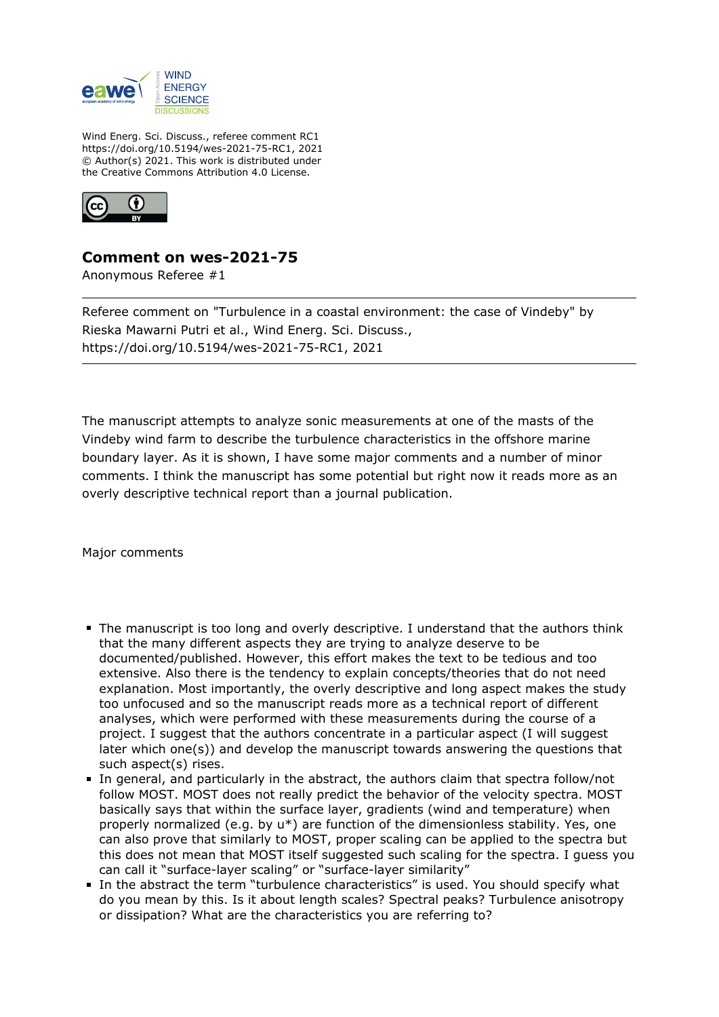

Wind Energ. Sci. Discuss., referee comment RC1 https://doi.org/10.5194/wes-2021-75-RC1, 2021 © Author(s) 2021. This work is distributed under the Creative Commons Attribution 4.0 License.



## **Comment on wes-2021-75**

Anonymous Referee #1

Referee comment on "Turbulence in a coastal environment: the case of Vindeby" by Rieska Mawarni Putri et al., Wind Energ. Sci. Discuss., https://doi.org/10.5194/wes-2021-75-RC1, 2021

The manuscript attempts to analyze sonic measurements at one of the masts of the Vindeby wind farm to describe the turbulence characteristics in the offshore marine boundary layer. As it is shown, I have some major comments and a number of minor comments. I think the manuscript has some potential but right now it reads more as an overly descriptive technical report than a journal publication.

Major comments

- The manuscript is too long and overly descriptive. I understand that the authors think that the many different aspects they are trying to analyze deserve to be documented/published. However, this effort makes the text to be tedious and too extensive. Also there is the tendency to explain concepts/theories that do not need explanation. Most importantly, the overly descriptive and long aspect makes the study too unfocused and so the manuscript reads more as a technical report of different analyses, which were performed with these measurements during the course of a project. I suggest that the authors concentrate in a particular aspect (I will suggest later which one(s)) and develop the manuscript towards answering the questions that such aspect(s) rises.
- In general, and particularly in the abstract, the authors claim that spectra follow/not follow MOST. MOST does not really predict the behavior of the velocity spectra. MOST basically says that within the surface layer, gradients (wind and temperature) when properly normalized (e.g. by u\*) are function of the dimensionless stability. Yes, one can also prove that similarly to MOST, proper scaling can be applied to the spectra but this does not mean that MOST itself suggested such scaling for the spectra. I guess you can call it "surface-layer scaling" or "surface-layer similarity"
- In the abstract the term "turbulence characteristics" is used. You should specify what do you mean by this. Is it about length scales? Spectral peaks? Turbulence anisotropy or dissipation? What are the characteristics you are referring to?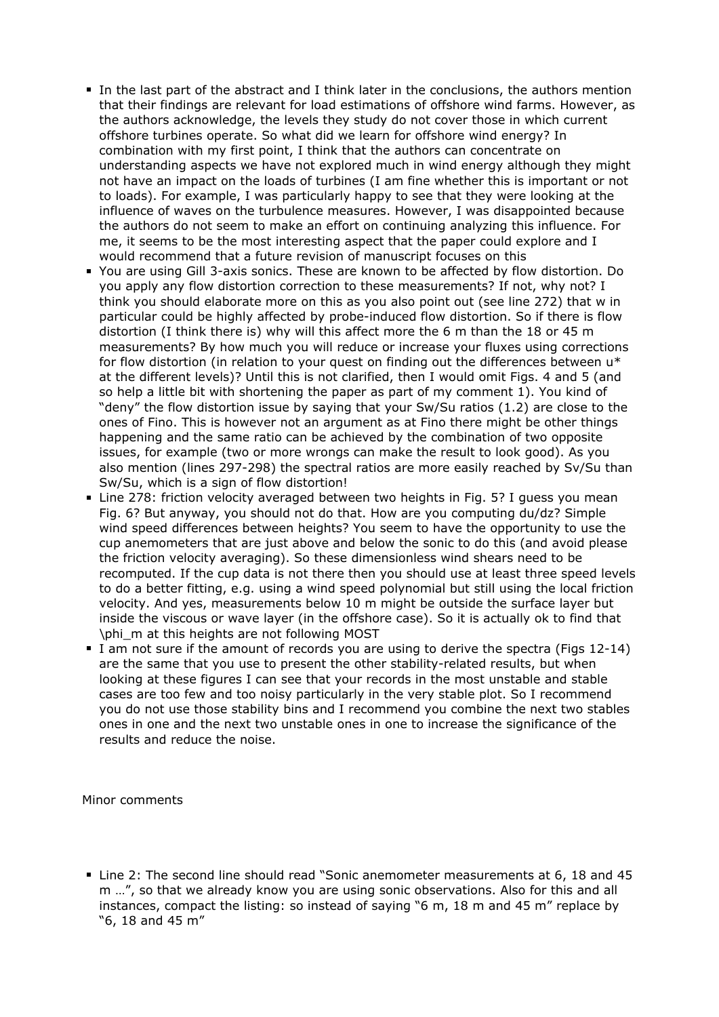- In the last part of the abstract and I think later in the conclusions, the authors mention that their findings are relevant for load estimations of offshore wind farms. However, as the authors acknowledge, the levels they study do not cover those in which current offshore turbines operate. So what did we learn for offshore wind energy? In combination with my first point, I think that the authors can concentrate on understanding aspects we have not explored much in wind energy although they might not have an impact on the loads of turbines (I am fine whether this is important or not to loads). For example, I was particularly happy to see that they were looking at the influence of waves on the turbulence measures. However, I was disappointed because the authors do not seem to make an effort on continuing analyzing this influence. For me, it seems to be the most interesting aspect that the paper could explore and I would recommend that a future revision of manuscript focuses on this
- You are using Gill 3-axis sonics. These are known to be affected by flow distortion. Do you apply any flow distortion correction to these measurements? If not, why not? I think you should elaborate more on this as you also point out (see line 272) that w in particular could be highly affected by probe-induced flow distortion. So if there is flow distortion (I think there is) why will this affect more the 6 m than the 18 or 45 m measurements? By how much you will reduce or increase your fluxes using corrections for flow distortion (in relation to your quest on finding out the differences between u\* at the different levels)? Until this is not clarified, then I would omit Figs. 4 and 5 (and so help a little bit with shortening the paper as part of my comment 1). You kind of "deny" the flow distortion issue by saying that your Sw/Su ratios (1.2) are close to the ones of Fino. This is however not an argument as at Fino there might be other things happening and the same ratio can be achieved by the combination of two opposite issues, for example (two or more wrongs can make the result to look good). As you also mention (lines 297-298) the spectral ratios are more easily reached by Sv/Su than Sw/Su, which is a sign of flow distortion!
- Line 278: friction velocity averaged between two heights in Fig. 5? I guess you mean Fig. 6? But anyway, you should not do that. How are you computing du/dz? Simple wind speed differences between heights? You seem to have the opportunity to use the cup anemometers that are just above and below the sonic to do this (and avoid please the friction velocity averaging). So these dimensionless wind shears need to be recomputed. If the cup data is not there then you should use at least three speed levels to do a better fitting, e.g. using a wind speed polynomial but still using the local friction velocity. And yes, measurements below 10 m might be outside the surface layer but inside the viscous or wave layer (in the offshore case). So it is actually ok to find that \phi\_m at this heights are not following MOST
- I am not sure if the amount of records you are using to derive the spectra (Figs 12-14) are the same that you use to present the other stability-related results, but when looking at these figures I can see that your records in the most unstable and stable cases are too few and too noisy particularly in the very stable plot. So I recommend you do not use those stability bins and I recommend you combine the next two stables ones in one and the next two unstable ones in one to increase the significance of the results and reduce the noise.

Minor comments

Line 2: The second line should read "Sonic anemometer measurements at 6, 18 and 45 m …", so that we already know you are using sonic observations. Also for this and all instances, compact the listing: so instead of saying "6 m, 18 m and 45 m" replace by "6, 18 and 45 m"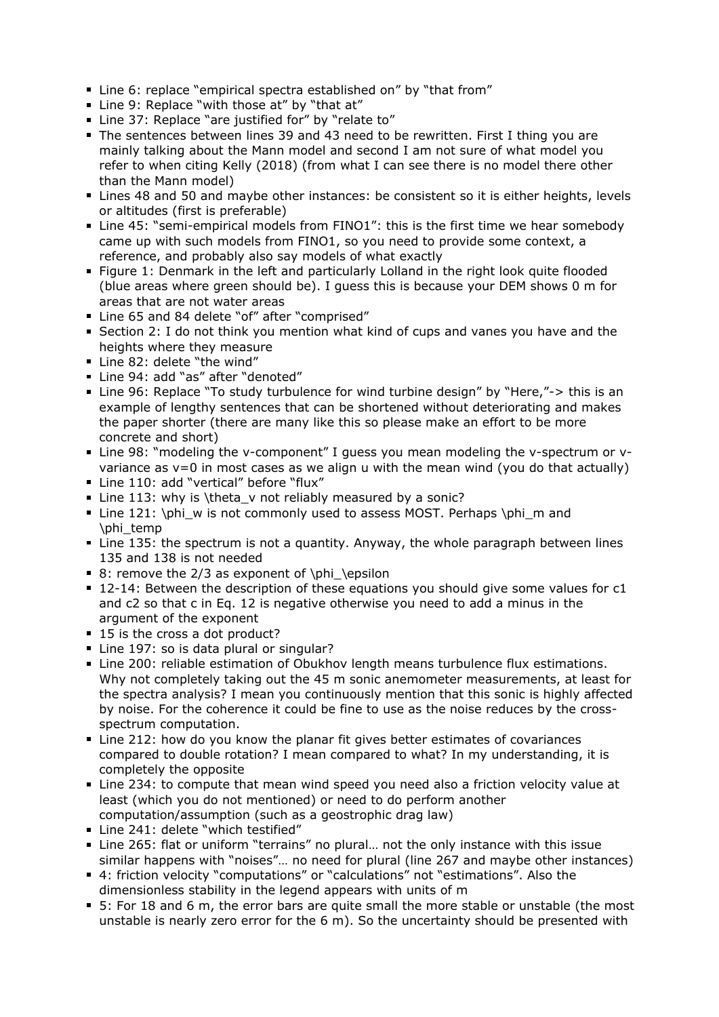- Line 6: replace "empirical spectra established on" by "that from"
- Line 9: Replace "with those at" by "that at"
- Line 37: Replace "are justified for" by "relate to"
- The sentences between lines 39 and 43 need to be rewritten. First I thing you are mainly talking about the Mann model and second I am not sure of what model you refer to when citing Kelly (2018) (from what I can see there is no model there other than the Mann model)
- Lines 48 and 50 and maybe other instances: be consistent so it is either heights, levels or altitudes (first is preferable)
- Line 45: "semi-empirical models from FINO1": this is the first time we hear somebody came up with such models from FINO1, so you need to provide some context, a reference, and probably also say models of what exactly
- **Figure 1: Denmark in the left and particularly Lolland in the right look quite flooded** (blue areas where green should be). I guess this is because your DEM shows 0 m for areas that are not water areas
- Line 65 and 84 delete "of" after "comprised"
- Section 2: I do not think you mention what kind of cups and vanes you have and the heights where they measure
- Line 82: delete "the wind"
- Line 94: add "as" after "denoted"
- Line 96: Replace "To study turbulence for wind turbine design" by "Here,"-> this is an example of lengthy sentences that can be shortened without deteriorating and makes the paper shorter (there are many like this so please make an effort to be more concrete and short)
- Line 98: "modeling the v-component" I guess you mean modeling the v-spectrum or vvariance as  $v=0$  in most cases as we align u with the mean wind (you do that actually)
- Line 110: add "vertical" before "flux"
- Line 113: why is \theta v not reliably measured by a sonic?
- Line 121: \phi\_w is not commonly used to assess MOST. Perhaps \phi\_m and \phi\_temp
- Line 135: the spectrum is not a quantity. Anyway, the whole paragraph between lines 135 and 138 is not needed
- 8: remove the  $2/3$  as exponent of \phi\_\epsilon
- 12-14: Between the description of these equations you should give some values for c1 and c2 so that c in Eq. 12 is negative otherwise you need to add a minus in the argument of the exponent
- 15 is the cross a dot product?
- Line 197: so is data plural or singular?
- Line 200: reliable estimation of Obukhov length means turbulence flux estimations. Why not completely taking out the 45 m sonic anemometer measurements, at least for the spectra analysis? I mean you continuously mention that this sonic is highly affected by noise. For the coherence it could be fine to use as the noise reduces by the crossspectrum computation.
- Line 212: how do you know the planar fit gives better estimates of covariances compared to double rotation? I mean compared to what? In my understanding, it is completely the opposite
- Line 234: to compute that mean wind speed you need also a friction velocity value at least (which you do not mentioned) or need to do perform another computation/assumption (such as a geostrophic drag law)
- Line 241: delete "which testified"
- Line 265: flat or uniform "terrains" no plural... not the only instance with this issue similar happens with "noises"… no need for plural (line 267 and maybe other instances)
- 4: friction velocity "computations" or "calculations" not "estimations". Also the dimensionless stability in the legend appears with units of m
- 5: For 18 and 6 m, the error bars are quite small the more stable or unstable (the most unstable is nearly zero error for the 6 m). So the uncertainty should be presented with